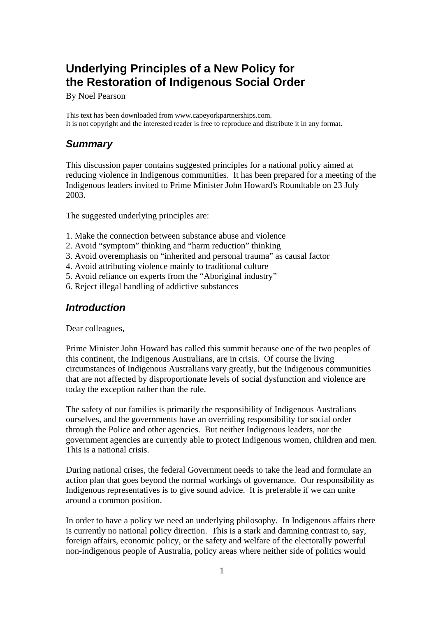# **Underlying Principles of a New Policy for the Restoration of Indigenous Social Order**

By Noel Pearson

This text has been downloaded from www.capeyorkpartnerships.com. It is not copyright and the interested reader is free to reproduce and distribute it in any format.

## *Summary*

This discussion paper contains suggested principles for a national policy aimed at reducing violence in Indigenous communities. It has been prepared for a meeting of the Indigenous leaders invited to Prime Minister John Howard's Roundtable on 23 July 2003.

The suggested underlying principles are:

- 1. Make the connection between substance abuse and violence
- 2. Avoid "symptom" thinking and "harm reduction" thinking
- 3. Avoid overemphasis on "inherited and personal trauma" as causal factor
- 4. Avoid attributing violence mainly to traditional culture
- 5. Avoid reliance on experts from the "Aboriginal industry"
- 6. Reject illegal handling of addictive substances

#### *Introduction*

Dear colleagues,

Prime Minister John Howard has called this summit because one of the two peoples of this continent, the Indigenous Australians, are in crisis. Of course the living circumstances of Indigenous Australians vary greatly, but the Indigenous communities that are not affected by disproportionate levels of social dysfunction and violence are today the exception rather than the rule.

The safety of our families is primarily the responsibility of Indigenous Australians ourselves, and the governments have an overriding responsibility for social order through the Police and other agencies. But neither Indigenous leaders, nor the government agencies are currently able to protect Indigenous women, children and men. This is a national crisis.

During national crises, the federal Government needs to take the lead and formulate an action plan that goes beyond the normal workings of governance. Our responsibility as Indigenous representatives is to give sound advice. It is preferable if we can unite around a common position.

In order to have a policy we need an underlying philosophy. In Indigenous affairs there is currently no national policy direction. This is a stark and damning contrast to, say, foreign affairs, economic policy, or the safety and welfare of the electorally powerful non-indigenous people of Australia, policy areas where neither side of politics would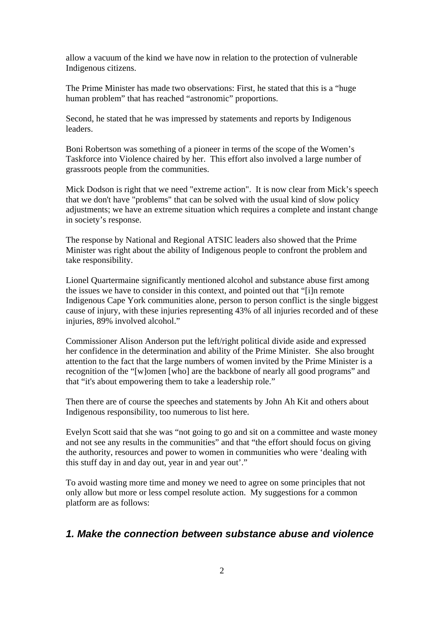allow a vacuum of the kind we have now in relation to the protection of vulnerable Indigenous citizens.

The Prime Minister has made two observations: First, he stated that this is a "huge human problem" that has reached "astronomic" proportions.

Second, he stated that he was impressed by statements and reports by Indigenous leaders.

Boni Robertson was something of a pioneer in terms of the scope of the Women's Taskforce into Violence chaired by her. This effort also involved a large number of grassroots people from the communities.

Mick Dodson is right that we need "extreme action". It is now clear from Mick's speech that we don't have "problems" that can be solved with the usual kind of slow policy adjustments; we have an extreme situation which requires a complete and instant change in society's response.

The response by National and Regional ATSIC leaders also showed that the Prime Minister was right about the ability of Indigenous people to confront the problem and take responsibility.

Lionel Quartermaine significantly mentioned alcohol and substance abuse first among the issues we have to consider in this context, and pointed out that "[i]n remote Indigenous Cape York communities alone, person to person conflict is the single biggest cause of injury, with these injuries representing 43% of all injuries recorded and of these injuries, 89% involved alcohol."

Commissioner Alison Anderson put the left/right political divide aside and expressed her confidence in the determination and ability of the Prime Minister. She also brought attention to the fact that the large numbers of women invited by the Prime Minister is a recognition of the "[w]omen [who] are the backbone of nearly all good programs" and that "it's about empowering them to take a leadership role."

Then there are of course the speeches and statements by John Ah Kit and others about Indigenous responsibility, too numerous to list here.

Evelyn Scott said that she was "not going to go and sit on a committee and waste money and not see any results in the communities" and that "the effort should focus on giving the authority, resources and power to women in communities who were 'dealing with this stuff day in and day out, year in and year out'."

To avoid wasting more time and money we need to agree on some principles that not only allow but more or less compel resolute action. My suggestions for a common platform are as follows:

#### *1. Make the connection between substance abuse and violence*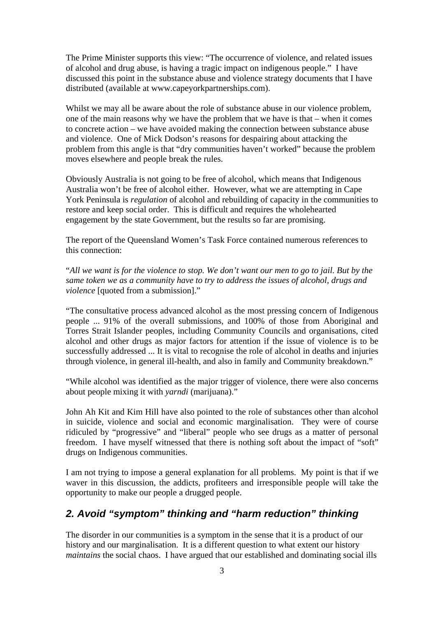The Prime Minister supports this view: "The occurrence of violence, and related issues of alcohol and drug abuse, is having a tragic impact on indigenous people." I have discussed this point in the substance abuse and violence strategy documents that I have distributed (available at [www.capeyorkpartnerships.com\)](http://www.capeyorkpartnerships.com/).

Whilst we may all be aware about the role of substance abuse in our violence problem, one of the main reasons why we have the problem that we have is that – when it comes to concrete action – we have avoided making the connection between substance abuse and violence. One of Mick Dodson's reasons for despairing about attacking the problem from this angle is that "dry communities haven't worked" because the problem moves elsewhere and people break the rules.

Obviously Australia is not going to be free of alcohol, which means that Indigenous Australia won't be free of alcohol either. However, what we are attempting in Cape York Peninsula is *regulation* of alcohol and rebuilding of capacity in the communities to restore and keep social order. This is difficult and requires the wholehearted engagement by the state Government, but the results so far are promising.

The report of the Queensland Women's Task Force contained numerous references to this connection:

"*All we want is for the violence to stop. We don't want our men to go to jail. But by the same token we as a community have to try to address the issues of alcohol, drugs and violence* [quoted from a submission]."

"The consultative process advanced alcohol as the most pressing concern of Indigenous people ... 91% of the overall submissions, and 100% of those from Aboriginal and Torres Strait Islander peoples, including Community Councils and organisations, cited alcohol and other drugs as major factors for attention if the issue of violence is to be successfully addressed ... It is vital to recognise the role of alcohol in deaths and injuries through violence, in general ill-health, and also in family and Community breakdown."

"While alcohol was identified as the major trigger of violence, there were also concerns about people mixing it with *yarndi* (marijuana)."

John Ah Kit and Kim Hill have also pointed to the role of substances other than alcohol in suicide, violence and social and economic marginalisation. They were of course ridiculed by "progressive" and "liberal" people who see drugs as a matter of personal freedom. I have myself witnessed that there is nothing soft about the impact of "soft" drugs on Indigenous communities.

I am not trying to impose a general explanation for all problems. My point is that if we waver in this discussion, the addicts, profiteers and irresponsible people will take the opportunity to make our people a drugged people.

### *2. Avoid "symptom" thinking and "harm reduction" thinking*

The disorder in our communities is a symptom in the sense that it is a product of our history and our marginalisation. It is a different question to what extent our history *maintains* the social chaos. I have argued that our established and dominating social ills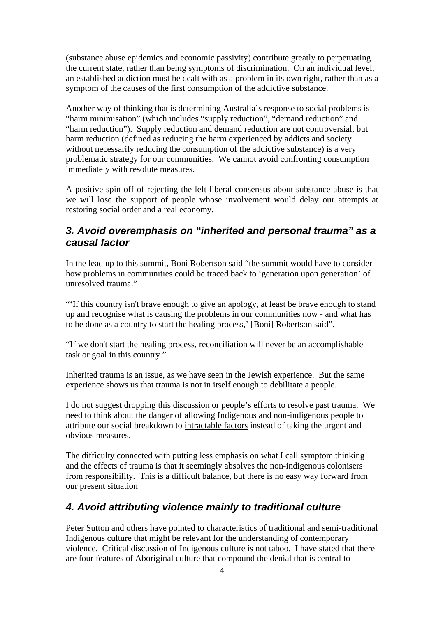(substance abuse epidemics and economic passivity) contribute greatly to perpetuating the current state, rather than being symptoms of discrimination. On an individual level, an established addiction must be dealt with as a problem in its own right, rather than as a symptom of the causes of the first consumption of the addictive substance.

Another way of thinking that is determining Australia's response to social problems is "harm minimisation" (which includes "supply reduction", "demand reduction" and "harm reduction"). Supply reduction and demand reduction are not controversial, but harm reduction (defined as reducing the harm experienced by addicts and society without necessarily reducing the consumption of the addictive substance) is a very problematic strategy for our communities. We cannot avoid confronting consumption immediately with resolute measures.

A positive spin-off of rejecting the left-liberal consensus about substance abuse is that we will lose the support of people whose involvement would delay our attempts at restoring social order and a real economy.

### *3. Avoid overemphasis on "inherited and personal trauma" as a causal factor*

In the lead up to this summit, Boni Robertson said "the summit would have to consider how problems in communities could be traced back to 'generation upon generation' of unresolved trauma."

"'If this country isn't brave enough to give an apology, at least be brave enough to stand up and recognise what is causing the problems in our communities now - and what has to be done as a country to start the healing process,' [Boni] Robertson said".

"If we don't start the healing process, reconciliation will never be an accomplishable task or goal in this country."

Inherited trauma is an issue, as we have seen in the Jewish experience. But the same experience shows us that trauma is not in itself enough to debilitate a people.

I do not suggest dropping this discussion or people's efforts to resolve past trauma. We need to think about the danger of allowing Indigenous and non-indigenous people to attribute our social breakdown to intractable factors instead of taking the urgent and obvious measures.

The difficulty connected with putting less emphasis on what I call symptom thinking and the effects of trauma is that it seemingly absolves the non-indigenous colonisers from responsibility. This is a difficult balance, but there is no easy way forward from our present situation

# *4. Avoid attributing violence mainly to traditional culture*

Peter Sutton and others have pointed to characteristics of traditional and semi-traditional Indigenous culture that might be relevant for the understanding of contemporary violence. Critical discussion of Indigenous culture is not taboo. I have stated that there are four features of Aboriginal culture that compound the denial that is central to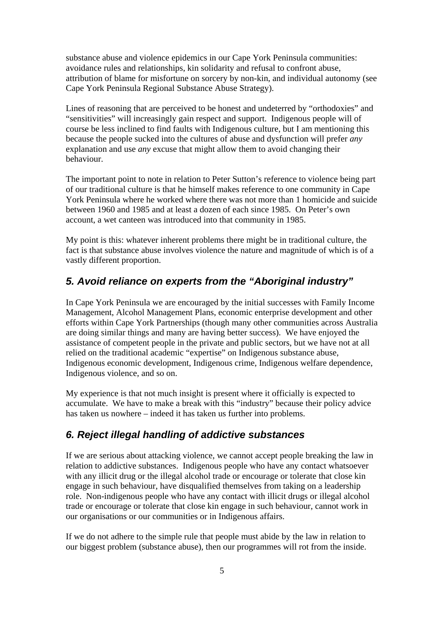substance abuse and violence epidemics in our Cape York Peninsula communities: avoidance rules and relationships, kin solidarity and refusal to confront abuse, attribution of blame for misfortune on sorcery by non-kin, and individual autonomy (see Cape York Peninsula Regional Substance Abuse Strategy).

Lines of reasoning that are perceived to be honest and undeterred by "orthodoxies" and "sensitivities" will increasingly gain respect and support. Indigenous people will of course be less inclined to find faults with Indigenous culture, but I am mentioning this because the people sucked into the cultures of abuse and dysfunction will prefer *any* explanation and use *any* excuse that might allow them to avoid changing their behaviour.

The important point to note in relation to Peter Sutton's reference to violence being part of our traditional culture is that he himself makes reference to one community in Cape York Peninsula where he worked where there was not more than 1 homicide and suicide between 1960 and 1985 and at least a dozen of each since 1985. On Peter's own account, a wet canteen was introduced into that community in 1985.

My point is this: whatever inherent problems there might be in traditional culture, the fact is that substance abuse involves violence the nature and magnitude of which is of a vastly different proportion.

# *5. Avoid reliance on experts from the "Aboriginal industry"*

In Cape York Peninsula we are encouraged by the initial successes with Family Income Management, Alcohol Management Plans, economic enterprise development and other efforts within Cape York Partnerships (though many other communities across Australia are doing similar things and many are having better success). We have enjoyed the assistance of competent people in the private and public sectors, but we have not at all relied on the traditional academic "expertise" on Indigenous substance abuse, Indigenous economic development, Indigenous crime, Indigenous welfare dependence, Indigenous violence, and so on.

My experience is that not much insight is present where it officially is expected to accumulate. We have to make a break with this "industry" because their policy advice has taken us nowhere – indeed it has taken us further into problems.

# *6. Reject illegal handling of addictive substances*

If we are serious about attacking violence, we cannot accept people breaking the law in relation to addictive substances. Indigenous people who have any contact whatsoever with any illicit drug or the illegal alcohol trade or encourage or tolerate that close kin engage in such behaviour, have disqualified themselves from taking on a leadership role. Non-indigenous people who have any contact with illicit drugs or illegal alcohol trade or encourage or tolerate that close kin engage in such behaviour, cannot work in our organisations or our communities or in Indigenous affairs.

If we do not adhere to the simple rule that people must abide by the law in relation to our biggest problem (substance abuse), then our programmes will rot from the inside.